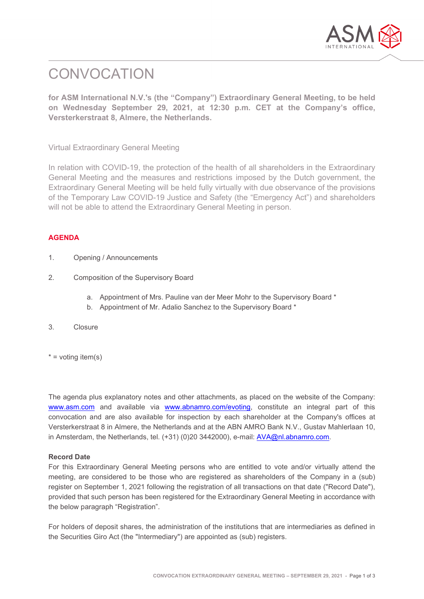

# **CONVOCATION**

**for ASM International N.V.'s (the "Company") Extraordinary General Meeting, to be held on Wednesday September 29, 2021, at 12:30 p.m. CET at the Company's office, Versterkerstraat 8, Almere, the Netherlands.**

Virtual Extraordinary General Meeting

In relation with COVID-19, the protection of the health of all shareholders in the Extraordinary General Meeting and the measures and restrictions imposed by the Dutch government, the Extraordinary General Meeting will be held fully virtually with due observance of the provisions of the Temporary Law COVID-19 Justice and Safety (the "Emergency Act") and shareholders will not be able to attend the Extraordinary General Meeting in person.

# **AGENDA**

- 1. Opening / Announcements
- 2. Composition of the Supervisory Board
	- a. Appointment of Mrs. Pauline van der Meer Mohr to the Supervisory Board \*
	- b. Appointment of Mr. Adalio Sanchez to the Supervisory Board \*
- 3. Closure
- $*$  = voting item(s)

The agenda plus explanatory notes and other attachments, as placed on the website of the Company: [www.asm.com](http://www.asm.com/) and available via [www.abnamro.com/evoting,](http://www.abnamro.com/evoting) constitute an integral part of this convocation and are also available for inspection by each shareholder at the Company's offices at Versterkerstraat 8 in Almere, the Netherlands and at the ABN AMRO Bank N.V., Gustav Mahlerlaan 10, in Amsterdam, the Netherlands, tel. (+31) (0)20 3442000), e-mail: [AVA@nl.abnamro.com.](mailto:corporate.broking@nl.abnamro.com)

## **Record Date**

For this Extraordinary General Meeting persons who are entitled to vote and/or virtually attend the meeting, are considered to be those who are registered as shareholders of the Company in a (sub) register on September 1, 2021 following the registration of all transactions on that date ("Record Date"), provided that such person has been registered for the Extraordinary General Meeting in accordance with the below paragraph "Registration".

For holders of deposit shares, the administration of the institutions that are intermediaries as defined in the Securities Giro Act (the "Intermediary") are appointed as (sub) registers.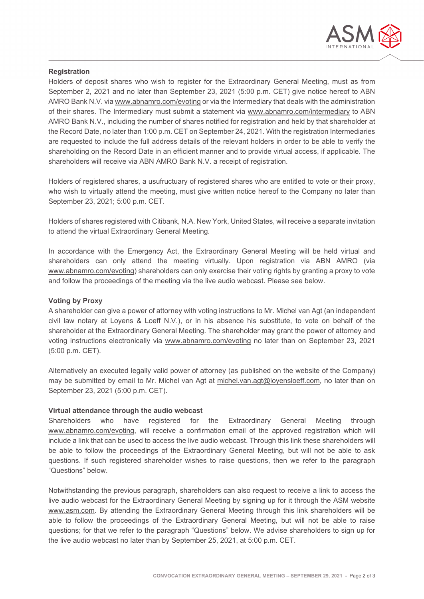

#### **Registration**

Holders of deposit shares who wish to register for the Extraordinary General Meeting, must as from September 2, 2021 and no later than September 23, 2021 (5:00 p.m. CET) give notice hereof to ABN AMRO Bank N.V. vi[a www.abnamro.com/evoting](http://www.abnamro.com/evoting) or via the Intermediary that deals with the administration of their shares. The Intermediary must submit a statement via [www.abnamro.com/intermediary](http://www.abnamro.com/intermediary) to ABN AMRO Bank N.V., including the number of shares notified for registration and held by that shareholder at the Record Date, no later than 1:00 p.m. CET on September 24, 2021. With the registration Intermediaries are requested to include the full address details of the relevant holders in order to be able to verify the shareholding on the Record Date in an efficient manner and to provide virtual access, if applicable. The shareholders will receive via ABN AMRO Bank N.V. a receipt of registration.

Holders of registered shares, a usufructuary of registered shares who are entitled to vote or their proxy, who wish to virtually attend the meeting, must give written notice hereof to the Company no later than September 23, 2021; 5:00 p.m. CET.

Holders of shares registered with Citibank, N.A. New York, United States, will receive a separate invitation to attend the virtual Extraordinary General Meeting.

In accordance with the Emergency Act, the Extraordinary General Meeting will be held virtual and shareholders can only attend the meeting virtually. Upon registration via ABN AMRO (via www.abnamro.com/evoting) shareholders can only exercise their voting rights by granting a proxy to vote and follow the proceedings of the meeting via the live audio webcast. Please see below.

#### **Voting by Proxy**

A shareholder can give a power of attorney with voting instructions to Mr. Michel van Agt (an independent civil law notary at Loyens & Loeff N.V.), or in his absence his substitute, to vote on behalf of the shareholder at the Extraordinary General Meeting. The shareholder may grant the power of attorney and voting instructions electronically via [www.abnamro.com/evoting](http://www.abnamro.com/evoting) no later than on September 23, 2021 (5:00 p.m. CET).

Alternatively an executed legally valid power of attorney (as published on the website of the Company) may be submitted by email to Mr. Michel van Agt at [michel.van.agt@loyensloeff.com,](mailto:michel.van.agt@loyensloeff.com) no later than on September 23, 2021 (5:00 p.m. CET).

## **Virtual attendance through the audio webcast**

Shareholders who have registered for the Extraordinary General Meeting through [www.abnamro.com/evoting,](http://www.abnamro.com/evoting) will receive a confirmation email of the approved registration which will include a link that can be used to access the live audio webcast. Through this link these shareholders will be able to follow the proceedings of the Extraordinary General Meeting, but will not be able to ask questions. If such registered shareholder wishes to raise questions, then we refer to the paragraph "Questions" below.

Notwithstanding the previous paragraph, shareholders can also request to receive a link to access the live audio webcast for the Extraordinary General Meeting by signing up for it through the ASM website [www.asm.com.](http://www.asm.com/) By attending the Extraordinary General Meeting through this link shareholders will be able to follow the proceedings of the Extraordinary General Meeting, but will not be able to raise questions; for that we refer to the paragraph "Questions" below. We advise shareholders to sign up for the live audio webcast no later than by September 25, 2021, at 5:00 p.m. CET.